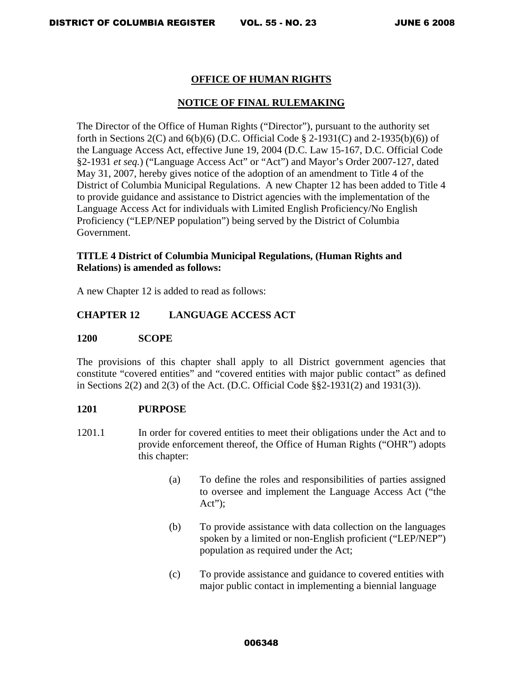# **OFFICE OF HUMAN RIGHTS**

# **NOTICE OF FINAL RULEMAKING**

The Director of the Office of Human Rights ("Director"), pursuant to the authority set forth in Sections 2(C) and  $6(b)(6)$  (D.C. Official Code § 2-1931(C) and 2-1935(b)(6)) of the Language Access Act, effective June 19, 2004 (D.C. Law 15-167, D.C. Official Code §2-1931 *et seq.*) ("Language Access Act" or "Act") and Mayor's Order 2007-127, dated May 31, 2007, hereby gives notice of the adoption of an amendment to Title 4 of the District of Columbia Municipal Regulations. A new Chapter 12 has been added to Title 4 to provide guidance and assistance to District agencies with the implementation of the Language Access Act for individuals with Limited English Proficiency/No English Proficiency ("LEP/NEP population") being served by the District of Columbia Government.

# **TITLE 4 District of Columbia Municipal Regulations, (Human Rights and Relations) is amended as follows:**

A new Chapter 12 is added to read as follows:

# **CHAPTER 12 LANGUAGE ACCESS ACT**

## **1200 SCOPE**

The provisions of this chapter shall apply to all District government agencies that constitute "covered entities" and "covered entities with major public contact" as defined in Sections 2(2) and 2(3) of the Act. (D.C. Official Code §§2-1931(2) and 1931(3)).

## **1201 PURPOSE**

- 1201.1 In order for covered entities to meet their obligations under the Act and to provide enforcement thereof, the Office of Human Rights ("OHR") adopts this chapter:
	- (a) To define the roles and responsibilities of parties assigned to oversee and implement the Language Access Act ("the  $Act$ ":
	- (b) To provide assistance with data collection on the languages spoken by a limited or non-English proficient ("LEP/NEP") population as required under the Act;
	- (c) To provide assistance and guidance to covered entities with major public contact in implementing a biennial language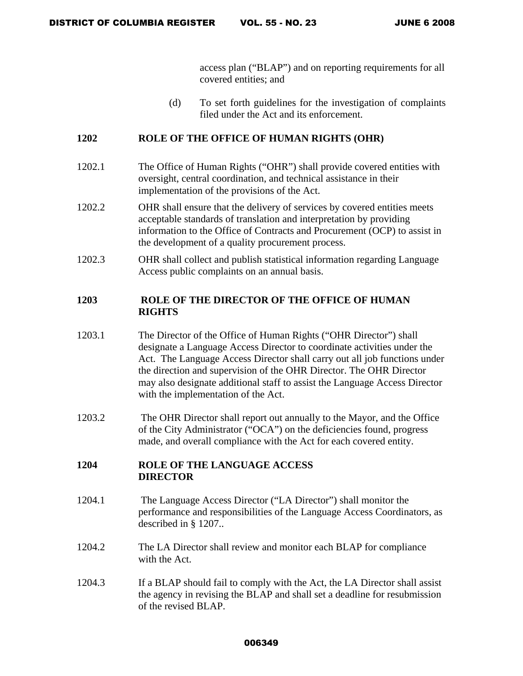access plan ("BLAP") and on reporting requirements for all covered entities; and

(d) To set forth guidelines for the investigation of complaints filed under the Act and its enforcement.

# **1202 ROLE OF THE OFFICE OF HUMAN RIGHTS (OHR)**

- 1202.1 The Office of Human Rights ("OHR") shall provide covered entities with oversight, central coordination, and technical assistance in their implementation of the provisions of the Act.
- 1202.2 OHR shall ensure that the delivery of services by covered entities meets acceptable standards of translation and interpretation by providing information to the Office of Contracts and Procurement (OCP) to assist in the development of a quality procurement process.
- 1202.3 OHR shall collect and publish statistical information regarding Language Access public complaints on an annual basis.

# **1203 ROLE OF THE DIRECTOR OF THE OFFICE OF HUMAN RIGHTS**

- 1203.1 The Director of the Office of Human Rights ("OHR Director") shall designate a Language Access Director to coordinate activities under the Act. The Language Access Director shall carry out all job functions under the direction and supervision of the OHR Director. The OHR Director may also designate additional staff to assist the Language Access Director with the implementation of the Act.
- 1203.2 The OHR Director shall report out annually to the Mayor, and the Office of the City Administrator ("OCA") on the deficiencies found, progress made, and overall compliance with the Act for each covered entity.

# **1204 ROLE OF THE LANGUAGE ACCESS DIRECTOR**

- 1204.1 The Language Access Director ("LA Director") shall monitor the performance and responsibilities of the Language Access Coordinators, as described in § 1207..
- 1204.2 The LA Director shall review and monitor each BLAP for compliance with the Act.
- 1204.3 If a BLAP should fail to comply with the Act, the LA Director shall assist the agency in revising the BLAP and shall set a deadline for resubmission of the revised BLAP.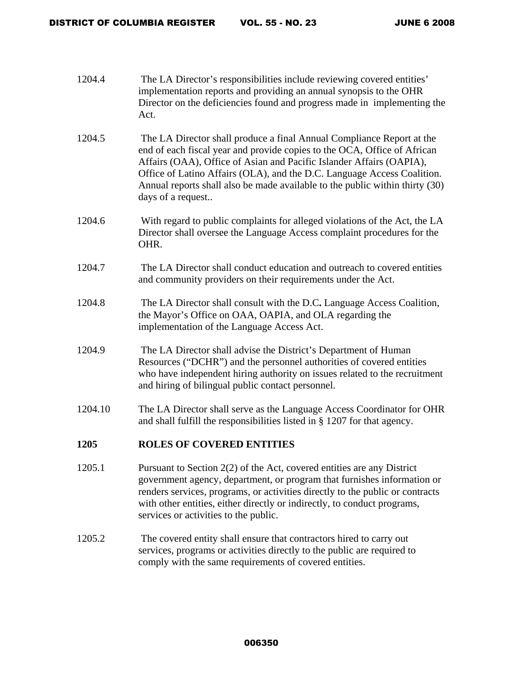| 1204.4  | The LA Director's responsibilities include reviewing covered entities'<br>implementation reports and providing an annual synopsis to the OHR<br>Director on the deficiencies found and progress made in implementing the<br>Act.                                                                                                                                                                          |
|---------|-----------------------------------------------------------------------------------------------------------------------------------------------------------------------------------------------------------------------------------------------------------------------------------------------------------------------------------------------------------------------------------------------------------|
| 1204.5  | The LA Director shall produce a final Annual Compliance Report at the<br>end of each fiscal year and provide copies to the OCA, Office of African<br>Affairs (OAA), Office of Asian and Pacific Islander Affairs (OAPIA),<br>Office of Latino Affairs (OLA), and the D.C. Language Access Coalition.<br>Annual reports shall also be made available to the public within thirty (30)<br>days of a request |
| 1204.6  | With regard to public complaints for alleged violations of the Act, the LA<br>Director shall oversee the Language Access complaint procedures for the<br>OHR.                                                                                                                                                                                                                                             |
| 1204.7  | The LA Director shall conduct education and outreach to covered entities<br>and community providers on their requirements under the Act.                                                                                                                                                                                                                                                                  |
| 1204.8  | The LA Director shall consult with the D.C. Language Access Coalition,<br>the Mayor's Office on OAA, OAPIA, and OLA regarding the<br>implementation of the Language Access Act.                                                                                                                                                                                                                           |
| 1204.9  | The LA Director shall advise the District's Department of Human<br>Resources ("DCHR") and the personnel authorities of covered entities<br>who have independent hiring authority on issues related to the recruitment<br>and hiring of bilingual public contact personnel.                                                                                                                                |
| 1204.10 | The LA Director shall serve as the Language Access Coordinator for OHR<br>and shall fulfill the responsibilities listed in $\S$ 1207 for that agency.                                                                                                                                                                                                                                                     |
| 1205    | <b>ROLES OF COVERED ENTITIES</b>                                                                                                                                                                                                                                                                                                                                                                          |
| 1205.1  | Pursuant to Section $2(2)$ of the Act, covered entities are any District<br>government agency, department, or program that furnishes information or<br>renders services, programs, or activities directly to the public or contracts<br>with other entities, either directly or indirectly, to conduct programs,<br>services or activities to the public.                                                 |
| 1205.2  | The covered entity shall ensure that contractors hired to carry out<br>services, programs or activities directly to the public are required to                                                                                                                                                                                                                                                            |

comply with the same requirements of covered entities.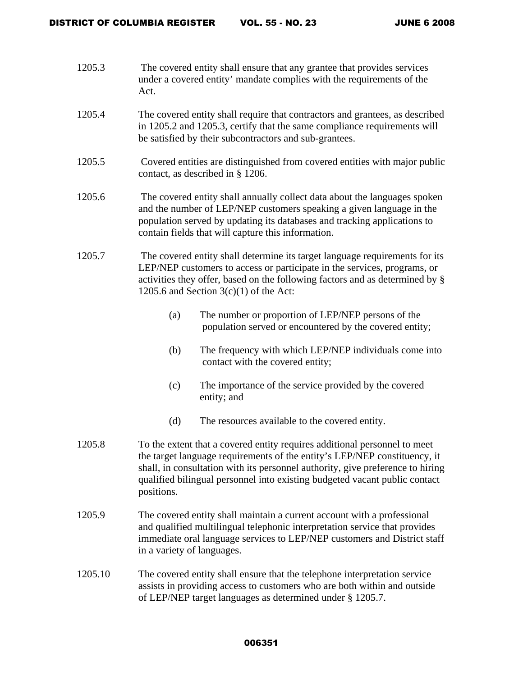- 1205.3 The covered entity shall ensure that any grantee that provides services under a covered entity' mandate complies with the requirements of the Act.
- 1205.4 The covered entity shall require that contractors and grantees, as described in 1205.2 and 1205.3, certify that the same compliance requirements will be satisfied by their subcontractors and sub-grantees.
- 1205.5 Covered entities are distinguished from covered entities with major public contact, as described in § 1206.
- 1205.6 The covered entity shall annually collect data about the languages spoken and the number of LEP/NEP customers speaking a given language in the population served by updating its databases and tracking applications to contain fields that will capture this information.
- 1205.7 The covered entity shall determine its target language requirements for its LEP/NEP customers to access or participate in the services, programs, or activities they offer, based on the following factors and as determined by § 1205.6 and Section  $3(c)(1)$  of the Act:
	- (a) The number or proportion of LEP/NEP persons of the population served or encountered by the covered entity;
	- (b) The frequency with which LEP/NEP individuals come into contact with the covered entity;
	- (c) The importance of the service provided by the covered entity; and
	- (d) The resources available to the covered entity.
- 1205.8 To the extent that a covered entity requires additional personnel to meet the target language requirements of the entity's LEP/NEP constituency, it shall, in consultation with its personnel authority, give preference to hiring qualified bilingual personnel into existing budgeted vacant public contact positions.
- 1205.9 The covered entity shall maintain a current account with a professional and qualified multilingual telephonic interpretation service that provides immediate oral language services to LEP/NEP customers and District staff in a variety of languages.
- 1205.10 The covered entity shall ensure that the telephone interpretation service assists in providing access to customers who are both within and outside of LEP/NEP target languages as determined under § 1205.7.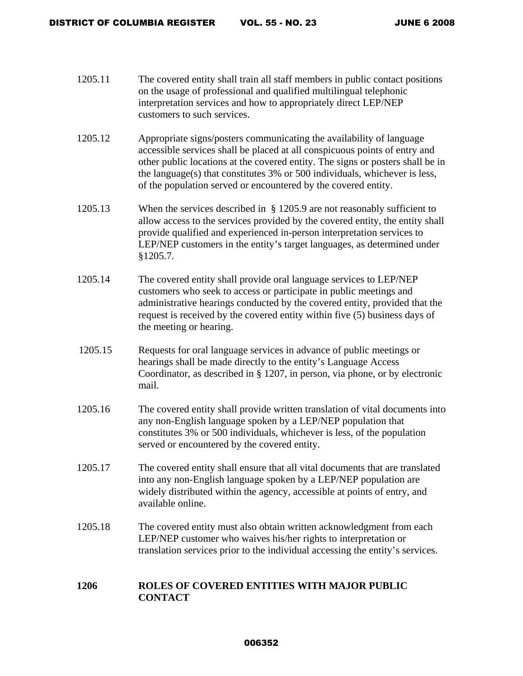- 1205.11 The covered entity shall train all staff members in public contact positions on the usage of professional and qualified multilingual telephonic interpretation services and how to appropriately direct LEP/NEP customers to such services.
- 1205.12 Appropriate signs/posters communicating the availability of language accessible services shall be placed at all conspicuous points of entry and other public locations at the covered entity. The signs or posters shall be in the language(s) that constitutes 3% or 500 individuals, whichever is less, of the population served or encountered by the covered entity.
- 1205.13 When the services described in § 1205.9 are not reasonably sufficient to allow access to the services provided by the covered entity, the entity shall provide qualified and experienced in-person interpretation services to LEP/NEP customers in the entity's target languages, as determined under §1205.7.
- 1205.14 The covered entity shall provide oral language services to LEP/NEP customers who seek to access or participate in public meetings and administrative hearings conducted by the covered entity, provided that the request is received by the covered entity within five (5) business days of the meeting or hearing.
- 1205.15 Requests for oral language services in advance of public meetings or hearings shall be made directly to the entity's Language Access Coordinator, as described in § 1207, in person, via phone, or by electronic mail.
- 1205.16 The covered entity shall provide written translation of vital documents into any non-English language spoken by a LEP/NEP population that constitutes 3% or 500 individuals, whichever is less, of the population served or encountered by the covered entity.
- 1205.17 The covered entity shall ensure that all vital documents that are translated into any non-English language spoken by a LEP/NEP population are widely distributed within the agency, accessible at points of entry, and available online.
- 1205.18 The covered entity must also obtain written acknowledgment from each LEP/NEP customer who waives his/her rights to interpretation or translation services prior to the individual accessing the entity's services.

# **1206 ROLES OF COVERED ENTITIES WITH MAJOR PUBLIC CONTACT**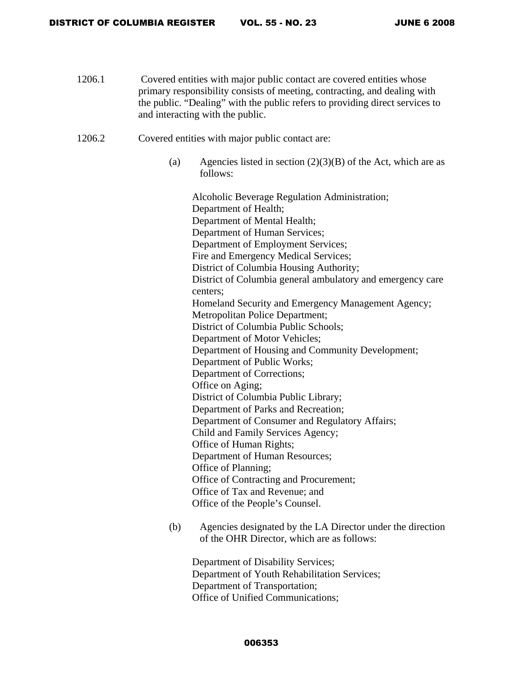- 1206.1 Covered entities with major public contact are covered entities whose primary responsibility consists of meeting, contracting, and dealing with the public. "Dealing" with the public refers to providing direct services to and interacting with the public.
- 1206.2 Covered entities with major public contact are:
	- (a) Agencies listed in section  $(2)(3)(B)$  of the Act, which are as follows:

Alcoholic Beverage Regulation Administration; Department of Health; Department of Mental Health; Department of Human Services; Department of Employment Services; Fire and Emergency Medical Services; District of Columbia Housing Authority; District of Columbia general ambulatory and emergency care centers; Homeland Security and Emergency Management Agency; Metropolitan Police Department; District of Columbia Public Schools; Department of Motor Vehicles; Department of Housing and Community Development; Department of Public Works; Department of Corrections; Office on Aging; District of Columbia Public Library; Department of Parks and Recreation; Department of Consumer and Regulatory Affairs; Child and Family Services Agency; Office of Human Rights; Department of Human Resources; Office of Planning; Office of Contracting and Procurement; Office of Tax and Revenue; and Office of the People's Counsel.

(b) Agencies designated by the LA Director under the direction of the OHR Director, which are as follows:

Department of Disability Services; Department of Youth Rehabilitation Services; Department of Transportation; Office of Unified Communications;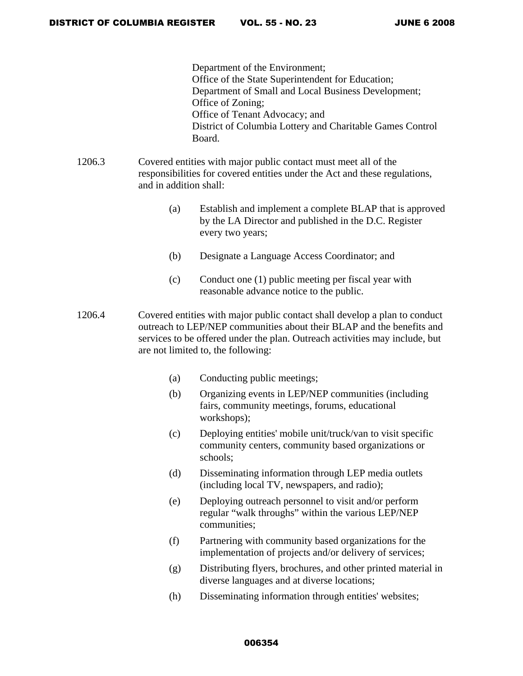Department of the Environment; Office of the State Superintendent for Education; Department of Small and Local Business Development; Office of Zoning; Office of Tenant Advocacy; and District of Columbia Lottery and Charitable Games Control Board.

- 1206.3 Covered entities with major public contact must meet all of the responsibilities for covered entities under the Act and these regulations, and in addition shall:
	- (a) Establish and implement a complete BLAP that is approved by the LA Director and published in the D.C. Register every two years;
	- (b) Designate a Language Access Coordinator; and
	- (c) Conduct one (1) public meeting per fiscal year with reasonable advance notice to the public.
- 1206.4 Covered entities with major public contact shall develop a plan to conduct outreach to LEP/NEP communities about their BLAP and the benefits and services to be offered under the plan. Outreach activities may include, but are not limited to, the following:
	- (a) Conducting public meetings;
	- (b) Organizing events in LEP/NEP communities (including fairs, community meetings, forums, educational workshops);
	- (c) Deploying entities' mobile unit/truck/van to visit specific community centers, community based organizations or schools;
	- (d) Disseminating information through LEP media outlets (including local TV, newspapers, and radio);
	- (e) Deploying outreach personnel to visit and/or perform regular "walk throughs" within the various LEP/NEP communities;
	- (f) Partnering with community based organizations for the implementation of projects and/or delivery of services;
	- (g) Distributing flyers, brochures, and other printed material in diverse languages and at diverse locations;
	- (h) Disseminating information through entities' websites;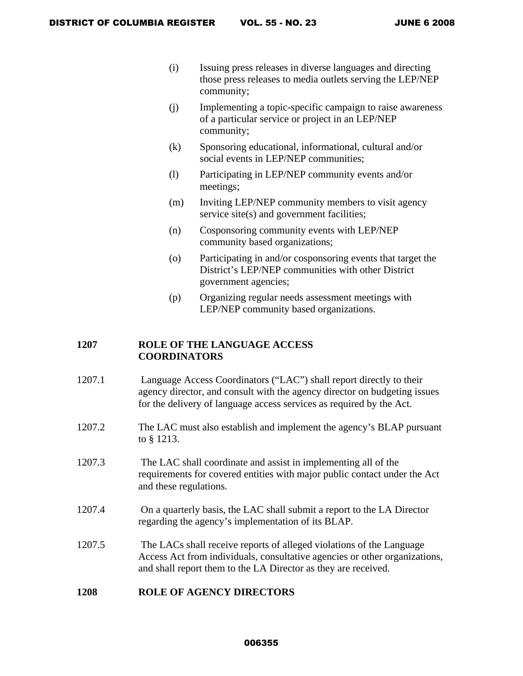- (i) Issuing press releases in diverse languages and directing those press releases to media outlets serving the LEP/NEP community;
- (j) Implementing a topic-specific campaign to raise awareness of a particular service or project in an LEP/NEP community;
- (k) Sponsoring educational, informational, cultural and/or social events in LEP/NEP communities;
- (l) Participating in LEP/NEP community events and/or meetings;
- (m) Inviting LEP/NEP community members to visit agency service site(s) and government facilities;
- (n) Cosponsoring community events with LEP/NEP community based organizations;
- (o) Participating in and/or cosponsoring events that target the District's LEP/NEP communities with other District government agencies;
- (p) Organizing regular needs assessment meetings with LEP/NEP community based organizations.

# **1207 ROLE OF THE LANGUAGE ACCESS COORDINATORS**

- 1207.1 Language Access Coordinators ("LAC") shall report directly to their agency director, and consult with the agency director on budgeting issues for the delivery of language access services as required by the Act.
- 1207.2 The LAC must also establish and implement the agency's BLAP pursuant to § 1213.
- 1207.3 The LAC shall coordinate and assist in implementing all of the requirements for covered entities with major public contact under the Act and these regulations.
- 1207.4 On a quarterly basis, the LAC shall submit a report to the LA Director regarding the agency's implementation of its BLAP.
- 1207.5 The LACs shall receive reports of alleged violations of the Language Access Act from individuals, consultative agencies or other organizations, and shall report them to the LA Director as they are received.

## **1208 ROLE OF AGENCY DIRECTORS**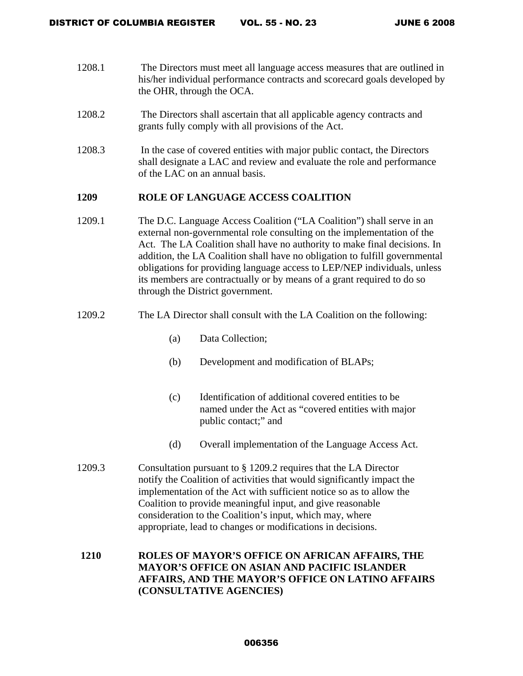DISTRICT OF COLUMBIA REGISTER VOL. 55 - NO. 23 JUNE 6 2008

- 1208.1 The Directors must meet all language access measures that are outlined in his/her individual performance contracts and scorecard goals developed by the OHR, through the OCA.
- 1208.2 The Directors shall ascertain that all applicable agency contracts and grants fully comply with all provisions of the Act.
- 1208.3 In the case of covered entities with major public contact, the Directors shall designate a LAC and review and evaluate the role and performance of the LAC on an annual basis.

## **1209 ROLE OF LANGUAGE ACCESS COALITION**

- 1209.1 The D.C. Language Access Coalition ("LA Coalition") shall serve in an external non-governmental role consulting on the implementation of the Act. The LA Coalition shall have no authority to make final decisions. In addition, the LA Coalition shall have no obligation to fulfill governmental obligations for providing language access to LEP/NEP individuals, unless its members are contractually or by means of a grant required to do so through the District government.
- 1209.2 The LA Director shall consult with the LA Coalition on the following:
	- (a) Data Collection;
	- (b) Development and modification of BLAPs;
	- (c) Identification of additional covered entities to be named under the Act as "covered entities with major public contact;" and
	- (d) Overall implementation of the Language Access Act.
- 1209.3 Consultation pursuant to § 1209.2 requires that the LA Director notify the Coalition of activities that would significantly impact the implementation of the Act with sufficient notice so as to allow the Coalition to provide meaningful input, and give reasonable consideration to the Coalition's input, which may, where appropriate, lead to changes or modifications in decisions.

# **1210 ROLES OF MAYOR'S OFFICE ON AFRICAN AFFAIRS, THE MAYOR'S OFFICE ON ASIAN AND PACIFIC ISLANDER AFFAIRS, AND THE MAYOR'S OFFICE ON LATINO AFFAIRS (CONSULTATIVE AGENCIES)**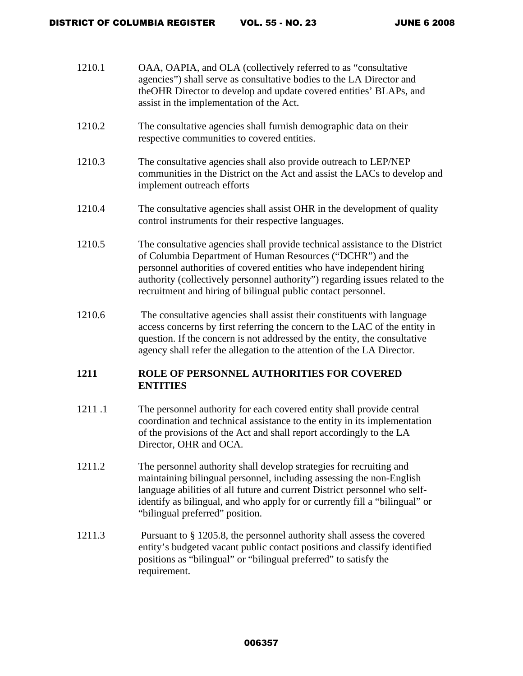| 1210.1 | OAA, OAPIA, and OLA (collectively referred to as "consultative<br>agencies") shall serve as consultative bodies to the LA Director and<br>theOHR Director to develop and update covered entities' BLAPs, and<br>assist in the implementation of the Act.                                                                                                              |
|--------|-----------------------------------------------------------------------------------------------------------------------------------------------------------------------------------------------------------------------------------------------------------------------------------------------------------------------------------------------------------------------|
| 1210.2 | The consultative agencies shall furnish demographic data on their<br>respective communities to covered entities.                                                                                                                                                                                                                                                      |
| 1210.3 | The consultative agencies shall also provide outreach to LEP/NEP<br>communities in the District on the Act and assist the LACs to develop and<br>implement outreach efforts                                                                                                                                                                                           |
| 1210.4 | The consultative agencies shall assist OHR in the development of quality<br>control instruments for their respective languages.                                                                                                                                                                                                                                       |
| 1210.5 | The consultative agencies shall provide technical assistance to the District<br>of Columbia Department of Human Resources ("DCHR") and the<br>personnel authorities of covered entities who have independent hiring<br>authority (collectively personnel authority") regarding issues related to the<br>recruitment and hiring of bilingual public contact personnel. |
| 1210.6 | The consultative agencies shall assist their constituents with language<br>access concerns by first referring the concern to the LAC of the entity in<br>question. If the concern is not addressed by the entity, the consultative<br>agency shall refer the allegation to the attention of the LA Director.                                                          |
| 1211   | ROLE OF PERSONNEL AUTHORITIES FOR COVERED<br><b>ENTITIES</b>                                                                                                                                                                                                                                                                                                          |
| 1211.1 | The personnel authority for each covered entity shall provide central<br>coordination and technical assistance to the entity in its implementation<br>of the provisions of the Act and shall report accordingly to the LA<br>Director, OHR and OCA.                                                                                                                   |

- 1211.2 The personnel authority shall develop strategies for recruiting and maintaining bilingual personnel, including assessing the non-English language abilities of all future and current District personnel who selfidentify as bilingual, and who apply for or currently fill a "bilingual" or "bilingual preferred" position.
- 1211.3 Pursuant to § 1205.8, the personnel authority shall assess the covered entity's budgeted vacant public contact positions and classify identified positions as "bilingual" or "bilingual preferred" to satisfy the requirement.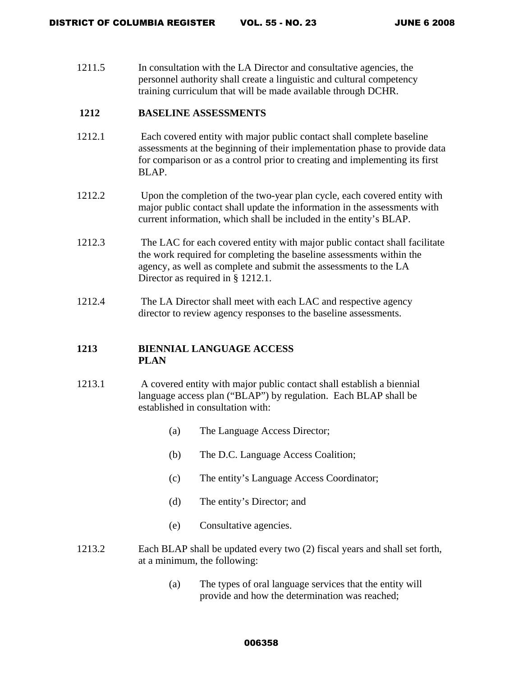1211.5 In consultation with the LA Director and consultative agencies, the personnel authority shall create a linguistic and cultural competency training curriculum that will be made available through DCHR.

# **1212 BASELINE ASSESSMENTS**

- 1212.1 Each covered entity with major public contact shall complete baseline assessments at the beginning of their implementation phase to provide data for comparison or as a control prior to creating and implementing its first BLAP.
- 1212.2 Upon the completion of the two-year plan cycle, each covered entity with major public contact shall update the information in the assessments with current information, which shall be included in the entity's BLAP.
- 1212.3 The LAC for each covered entity with major public contact shall facilitate the work required for completing the baseline assessments within the agency, as well as complete and submit the assessments to the LA Director as required in § 1212.1.
- 1212.4 The LA Director shall meet with each LAC and respective agency director to review agency responses to the baseline assessments.

# **1213 BIENNIAL LANGUAGE ACCESS PLAN**

- 1213.1 A covered entity with major public contact shall establish a biennial language access plan ("BLAP") by regulation. Each BLAP shall be established in consultation with:
	- (a) The Language Access Director;
	- (b) The D.C. Language Access Coalition;
	- (c) The entity's Language Access Coordinator;
	- (d) The entity's Director; and
	- (e) Consultative agencies.
- 1213.2 Each BLAP shall be updated every two (2) fiscal years and shall set forth, at a minimum, the following:
	- (a) The types of oral language services that the entity will provide and how the determination was reached;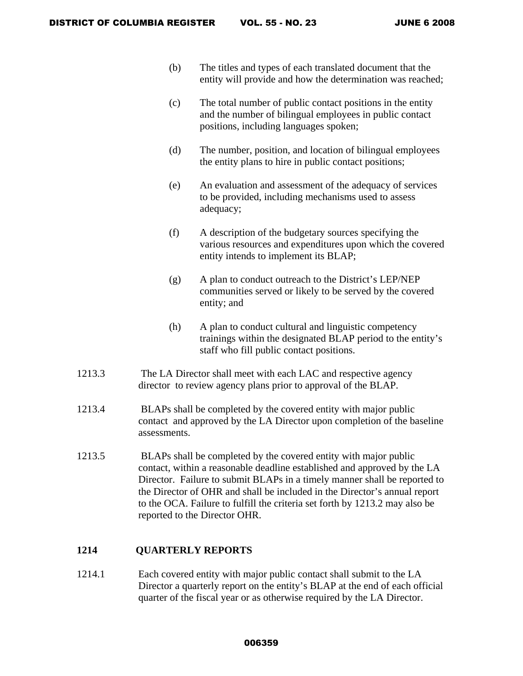- (b) The titles and types of each translated document that the entity will provide and how the determination was reached;
- (c) The total number of public contact positions in the entity and the number of bilingual employees in public contact positions, including languages spoken;
- (d) The number, position, and location of bilingual employees the entity plans to hire in public contact positions;
- (e) An evaluation and assessment of the adequacy of services to be provided, including mechanisms used to assess adequacy;
- (f) A description of the budgetary sources specifying the various resources and expenditures upon which the covered entity intends to implement its BLAP;
- (g) A plan to conduct outreach to the District's LEP/NEP communities served or likely to be served by the covered entity; and
- (h) A plan to conduct cultural and linguistic competency trainings within the designated BLAP period to the entity's staff who fill public contact positions.
- 1213.3 The LA Director shall meet with each LAC and respective agency director to review agency plans prior to approval of the BLAP.
- 1213.4 BLAPs shall be completed by the covered entity with major public contact and approved by the LA Director upon completion of the baseline assessments.
- 1213.5 BLAPs shall be completed by the covered entity with major public contact, within a reasonable deadline established and approved by the LA Director. Failure to submit BLAPs in a timely manner shall be reported to the Director of OHR and shall be included in the Director's annual report to the OCA. Failure to fulfill the criteria set forth by 1213.2 may also be reported to the Director OHR.

## **1214 QUARTERLY REPORTS**

1214.1 Each covered entity with major public contact shall submit to the LA Director a quarterly report on the entity's BLAP at the end of each official quarter of the fiscal year or as otherwise required by the LA Director.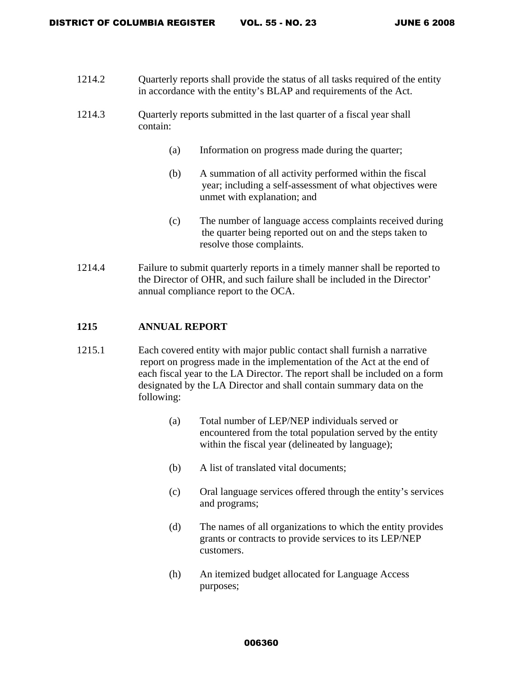- 1214.2 Quarterly reports shall provide the status of all tasks required of the entity in accordance with the entity's BLAP and requirements of the Act.
- 1214.3 Quarterly reports submitted in the last quarter of a fiscal year shall contain:
	- (a) Information on progress made during the quarter;
	- (b) A summation of all activity performed within the fiscal year; including a self-assessment of what objectives were unmet with explanation; and
	- (c) The number of language access complaints received during the quarter being reported out on and the steps taken to resolve those complaints.
- 1214.4 Failure to submit quarterly reports in a timely manner shall be reported to the Director of OHR, and such failure shall be included in the Director' annual compliance report to the OCA.

# **1215 ANNUAL REPORT**

- 1215.1 Each covered entity with major public contact shall furnish a narrative report on progress made in the implementation of the Act at the end of each fiscal year to the LA Director. The report shall be included on a form designated by the LA Director and shall contain summary data on the following:
	- (a) Total number of LEP/NEP individuals served or encountered from the total population served by the entity within the fiscal year (delineated by language);
	- (b) A list of translated vital documents;
	- (c) Oral language services offered through the entity's services and programs;
	- (d) The names of all organizations to which the entity provides grants or contracts to provide services to its LEP/NEP customers.
	- (h) An itemized budget allocated for Language Access purposes;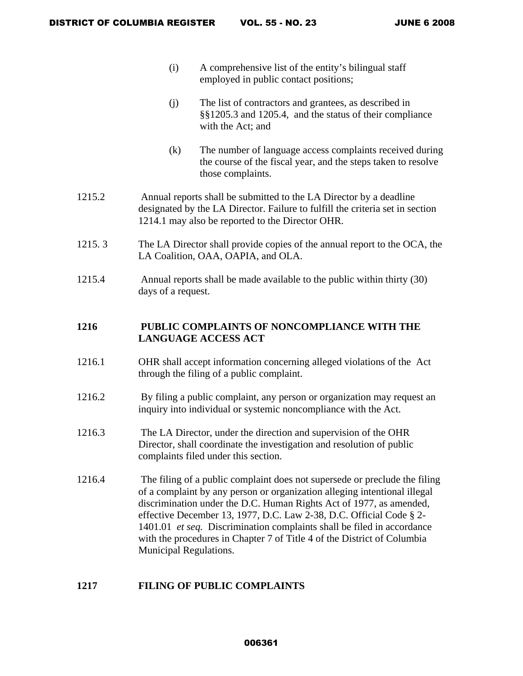- (i) A comprehensive list of the entity's bilingual staff employed in public contact positions;
- (j) The list of contractors and grantees, as described in §§1205.3 and 1205.4, and the status of their compliance with the Act; and
- (k) The number of language access complaints received during the course of the fiscal year, and the steps taken to resolve those complaints.
- 1215.2 Annual reports shall be submitted to the LA Director by a deadline designated by the LA Director. Failure to fulfill the criteria set in section 1214.1 may also be reported to the Director OHR.
- 1215. 3 The LA Director shall provide copies of the annual report to the OCA, the LA Coalition, OAA, OAPIA, and OLA.
- 1215.4 Annual reports shall be made available to the public within thirty (30) days of a request.

# **1216 PUBLIC COMPLAINTS OF NONCOMPLIANCE WITH THE LANGUAGE ACCESS ACT**

- 1216.1 OHR shall accept information concerning alleged violations of the Act through the filing of a public complaint.
- 1216.2 By filing a public complaint, any person or organization may request an inquiry into individual or systemic noncompliance with the Act.
- 1216.3 The LA Director, under the direction and supervision of the OHR Director, shall coordinate the investigation and resolution of public complaints filed under this section.
- 1216.4 The filing of a public complaint does not supersede or preclude the filing of a complaint by any person or organization alleging intentional illegal discrimination under the D.C. Human Rights Act of 1977, as amended, effective December 13, 1977, D.C. Law 2-38, D.C. Official Code § 2- 1401.01 *et seq.* Discrimination complaints shall be filed in accordance with the procedures in Chapter 7 of Title 4 of the District of Columbia Municipal Regulations.

# **1217 FILING OF PUBLIC COMPLAINTS**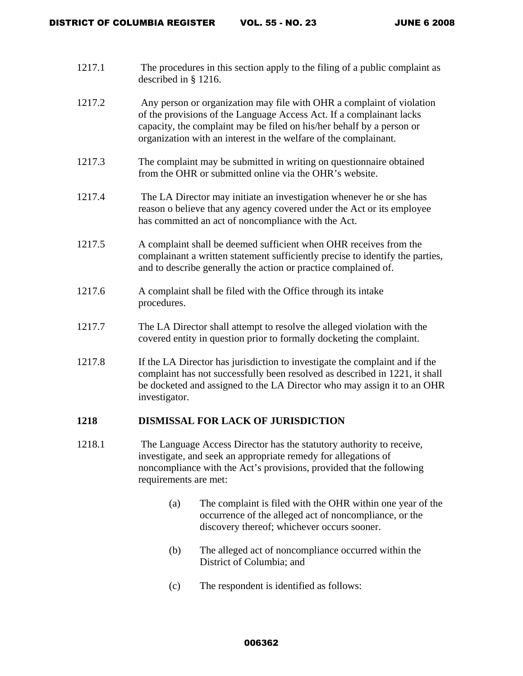- 1217.1 The procedures in this section apply to the filing of a public complaint as described in § 1216.
- 1217.2 Any person or organization may file with OHR a complaint of violation of the provisions of the Language Access Act. If a complainant lacks capacity, the complaint may be filed on his/her behalf by a person or organization with an interest in the welfare of the complainant.
- 1217.3 The complaint may be submitted in writing on questionnaire obtained from the OHR or submitted online via the OHR's website.
- 1217.4 The LA Director may initiate an investigation whenever he or she has reason o believe that any agency covered under the Act or its employee has committed an act of noncompliance with the Act.
- 1217.5 A complaint shall be deemed sufficient when OHR receives from the complainant a written statement sufficiently precise to identify the parties, and to describe generally the action or practice complained of.
- 1217.6 A complaint shall be filed with the Office through its intake procedures.
- 1217.7 The LA Director shall attempt to resolve the alleged violation with the covered entity in question prior to formally docketing the complaint.
- 1217.8 If the LA Director has jurisdiction to investigate the complaint and if the complaint has not successfully been resolved as described in 1221, it shall be docketed and assigned to the LA Director who may assign it to an OHR investigator.

## **1218 DISMISSAL FOR LACK OF JURISDICTION**

- 1218.1 The Language Access Director has the statutory authority to receive, investigate, and seek an appropriate remedy for allegations of noncompliance with the Act's provisions, provided that the following requirements are met:
	- (a) The complaint is filed with the OHR within one year of the occurrence of the alleged act of noncompliance, or the discovery thereof; whichever occurs sooner.
	- (b) The alleged act of noncompliance occurred within the District of Columbia; and
	- (c) The respondent is identified as follows: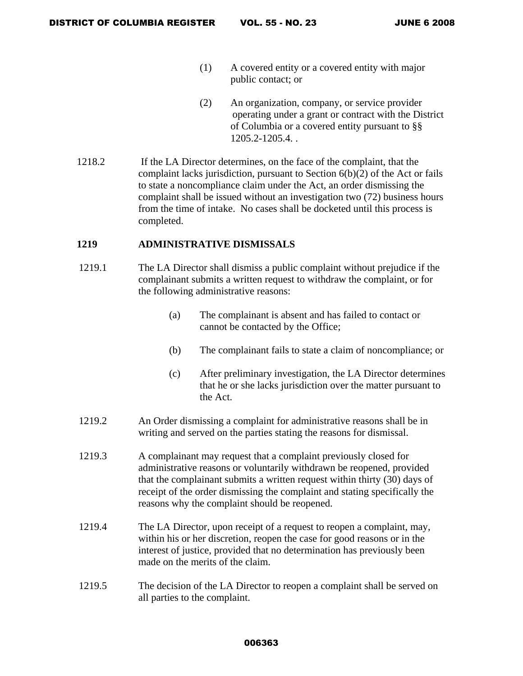- (1) A covered entity or a covered entity with major public contact; or
- (2) An organization, company, or service provider operating under a grant or contract with the District of Columbia or a covered entity pursuant to §§ 1205.2-1205.4. .
- 1218.2 If the LA Director determines, on the face of the complaint, that the complaint lacks jurisdiction, pursuant to Section 6(b)(2) of the Act or fails to state a noncompliance claim under the Act, an order dismissing the complaint shall be issued without an investigation two (72) business hours from the time of intake. No cases shall be docketed until this process is completed.

## **1219 ADMINISTRATIVE DISMISSALS**

- 1219.1 The LA Director shall dismiss a public complaint without prejudice if the complainant submits a written request to withdraw the complaint, or for the following administrative reasons:
	- (a) The complainant is absent and has failed to contact or cannot be contacted by the Office;
	- (b) The complainant fails to state a claim of noncompliance; or
	- (c) After preliminary investigation, the LA Director determines that he or she lacks jurisdiction over the matter pursuant to the Act.
- 1219.2 An Order dismissing a complaint for administrative reasons shall be in writing and served on the parties stating the reasons for dismissal.
- 1219.3 A complainant may request that a complaint previously closed for administrative reasons or voluntarily withdrawn be reopened, provided that the complainant submits a written request within thirty (30) days of receipt of the order dismissing the complaint and stating specifically the reasons why the complaint should be reopened.
- 1219.4 The LA Director, upon receipt of a request to reopen a complaint, may, within his or her discretion, reopen the case for good reasons or in the interest of justice, provided that no determination has previously been made on the merits of the claim.
- 1219.5 The decision of the LA Director to reopen a complaint shall be served on all parties to the complaint.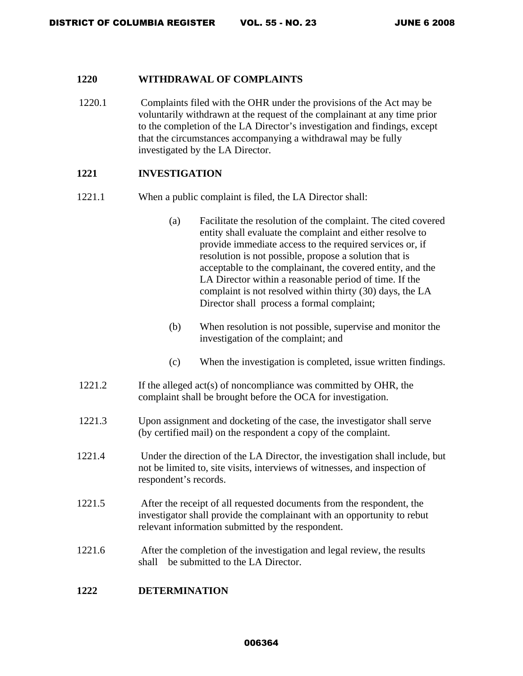### **1220 WITHDRAWAL OF COMPLAINTS**

1220.1 Complaints filed with the OHR under the provisions of the Act may be voluntarily withdrawn at the request of the complainant at any time prior to the completion of the LA Director's investigation and findings, except that the circumstances accompanying a withdrawal may be fully investigated by the LA Director.

# **1221 INVESTIGATION**

- 1221.1 When a public complaint is filed, the LA Director shall:
	- (a) Facilitate the resolution of the complaint. The cited covered entity shall evaluate the complaint and either resolve to provide immediate access to the required services or, if resolution is not possible, propose a solution that is acceptable to the complainant, the covered entity, and the LA Director within a reasonable period of time. If the complaint is not resolved within thirty (30) days, the LA Director shall process a formal complaint;
	- (b) When resolution is not possible, supervise and monitor the investigation of the complaint; and
	- (c) When the investigation is completed, issue written findings.
- 1221.2 If the alleged act(s) of noncompliance was committed by OHR, the complaint shall be brought before the OCA for investigation.
- 1221.3 Upon assignment and docketing of the case, the investigator shall serve (by certified mail) on the respondent a copy of the complaint.
- 1221.4 Under the direction of the LA Director, the investigation shall include, but not be limited to, site visits, interviews of witnesses, and inspection of respondent's records.
- 1221.5 After the receipt of all requested documents from the respondent, the investigator shall provide the complainant with an opportunity to rebut relevant information submitted by the respondent.
- 1221.6 After the completion of the investigation and legal review, the results shall be submitted to the LA Director.

# **1222 DETERMINATION**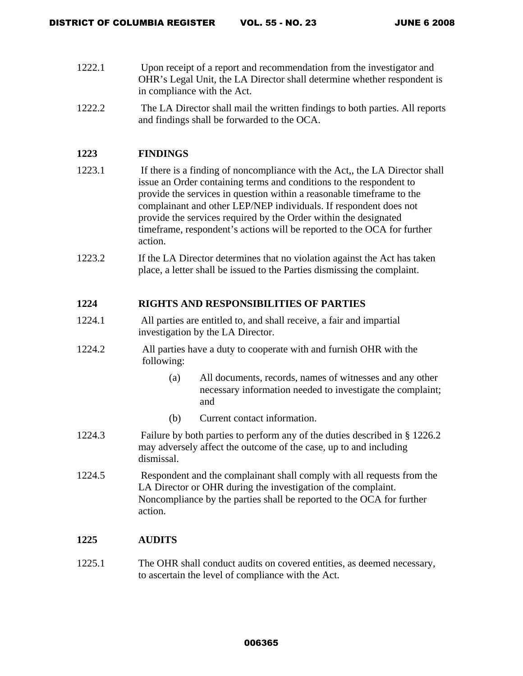- 1222.1 Upon receipt of a report and recommendation from the investigator and OHR's Legal Unit, the LA Director shall determine whether respondent is in compliance with the Act.
- 1222.2 The LA Director shall mail the written findings to both parties. All reports and findings shall be forwarded to the OCA.

# **1223 FINDINGS**

- 1223.1 If there is a finding of noncompliance with the Act,, the LA Director shall issue an Order containing terms and conditions to the respondent to provide the services in question within a reasonable timeframe to the complainant and other LEP/NEP individuals. If respondent does not provide the services required by the Order within the designated timeframe, respondent's actions will be reported to the OCA for further action.
- 1223.2 If the LA Director determines that no violation against the Act has taken place, a letter shall be issued to the Parties dismissing the complaint.

# **1224 RIGHTS AND RESPONSIBILITIES OF PARTIES**

- 1224.1 All parties are entitled to, and shall receive, a fair and impartial investigation by the LA Director.
- 1224.2 All parties have a duty to cooperate with and furnish OHR with the following:
	- (a) All documents, records, names of witnesses and any other necessary information needed to investigate the complaint; and
	- (b) Current contact information.
- 1224.3 Failure by both parties to perform any of the duties described in § 1226.2 may adversely affect the outcome of the case, up to and including dismissal.
- 1224.5 Respondent and the complainant shall comply with all requests from the LA Director or OHR during the investigation of the complaint. Noncompliance by the parties shall be reported to the OCA for further action.

# **1225 AUDITS**

1225.1 The OHR shall conduct audits on covered entities, as deemed necessary, to ascertain the level of compliance with the Act.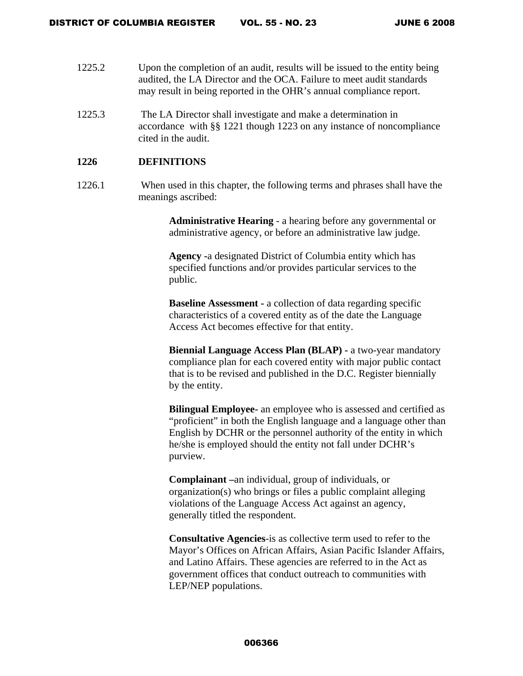- 1225.2 Upon the completion of an audit, results will be issued to the entity being audited, the LA Director and the OCA. Failure to meet audit standards may result in being reported in the OHR's annual compliance report.
- 1225.3 The LA Director shall investigate and make a determination in accordance with §§ 1221 though 1223 on any instance of noncompliance cited in the audit.

### **1226 DEFINITIONS**

1226.1 When used in this chapter, the following terms and phrases shall have the meanings ascribed:

> **Administrative Hearing** - a hearing before any governmental or administrative agency, or before an administrative law judge.

**Agency -**a designated District of Columbia entity which has specified functions and/or provides particular services to the public.

**Baseline Assessment -** a collection of data regarding specific characteristics of a covered entity as of the date the Language Access Act becomes effective for that entity.

**Biennial Language Access Plan (BLAP) -** a two-year mandatory compliance plan for each covered entity with major public contact that is to be revised and published in the D.C. Register biennially by the entity.

**Bilingual Employee-** an employee who is assessed and certified as "proficient" in both the English language and a language other than English by DCHR or the personnel authority of the entity in which he/she is employed should the entity not fall under DCHR's purview.

**Complainant –**an individual, group of individuals, or organization(s) who brings or files a public complaint alleging violations of the Language Access Act against an agency, generally titled the respondent.

**Consultative Agencies**-is as collective term used to refer to the Mayor's Offices on African Affairs, Asian Pacific Islander Affairs, and Latino Affairs. These agencies are referred to in the Act as government offices that conduct outreach to communities with LEP/NEP populations.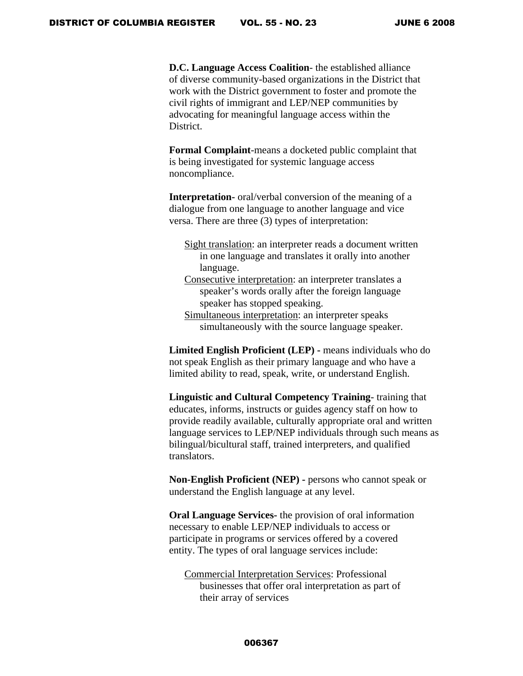**D.C. Language Access Coalition**- the established alliance of diverse community-based organizations in the District that work with the District government to foster and promote the civil rights of immigrant and LEP/NEP communities by advocating for meaningful language access within the District.

**Formal Complaint**-means a docketed public complaint that is being investigated for systemic language access noncompliance.

**Interpretation-** oral/verbal conversion of the meaning of a dialogue from one language to another language and vice versa. There are three (3) types of interpretation:

- Sight translation: an interpreter reads a document written in one language and translates it orally into another language.
- Consecutive interpretation: an interpreter translates a speaker's words orally after the foreign language speaker has stopped speaking.
- Simultaneous interpretation: an interpreter speaks simultaneously with the source language speaker.

**Limited English Proficient (LEP) -** means individuals who do not speak English as their primary language and who have a limited ability to read, speak, write, or understand English.

**Linguistic and Cultural Competency Training**- training that educates, informs, instructs or guides agency staff on how to provide readily available, culturally appropriate oral and written language services to LEP/NEP individuals through such means as bilingual/bicultural staff, trained interpreters, and qualified translators.

**Non-English Proficient (NEP) -** persons who cannot speak or understand the English language at any level.

**Oral Language Services-** the provision of oral information necessary to enable LEP/NEP individuals to access or participate in programs or services offered by a covered entity. The types of oral language services include:

Commercial Interpretation Services: Professional businesses that offer oral interpretation as part of their array of services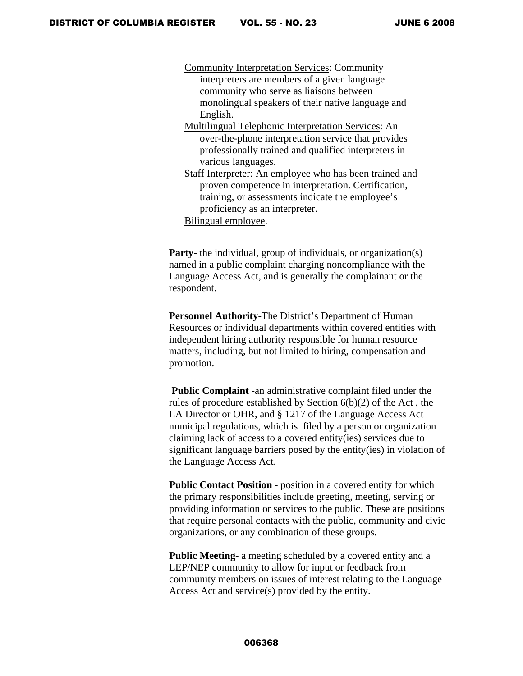Community Interpretation Services: Community interpreters are members of a given language community who serve as liaisons between monolingual speakers of their native language and English. Multilingual Telephonic Interpretation Services: An

- over-the-phone interpretation service that provides professionally trained and qualified interpreters in various languages.
- Staff Interpreter: An employee who has been trained and proven competence in interpretation. Certification, training, or assessments indicate the employee's proficiency as an interpreter.
- Bilingual employee.

**Party-** the individual, group of individuals, or organization(s) named in a public complaint charging noncompliance with the Language Access Act, and is generally the complainant or the respondent.

**Personnel Authority-**The District's Department of Human Resources or individual departments within covered entities with independent hiring authority responsible for human resource matters, including, but not limited to hiring, compensation and promotion.

 **Public Complaint** -an administrative complaint filed under the rules of procedure established by Section 6(b)(2) of the Act , the LA Director or OHR, and § 1217 of the Language Access Act municipal regulations, which is filed by a person or organization claiming lack of access to a covered entity(ies) services due to significant language barriers posed by the entity(ies) in violation of the Language Access Act.

**Public Contact Position -** position in a covered entity for which the primary responsibilities include greeting, meeting, serving or providing information or services to the public. These are positions that require personal contacts with the public, community and civic organizations, or any combination of these groups.

**Public Meeting-** a meeting scheduled by a covered entity and a LEP/NEP community to allow for input or feedback from community members on issues of interest relating to the Language Access Act and service(s) provided by the entity.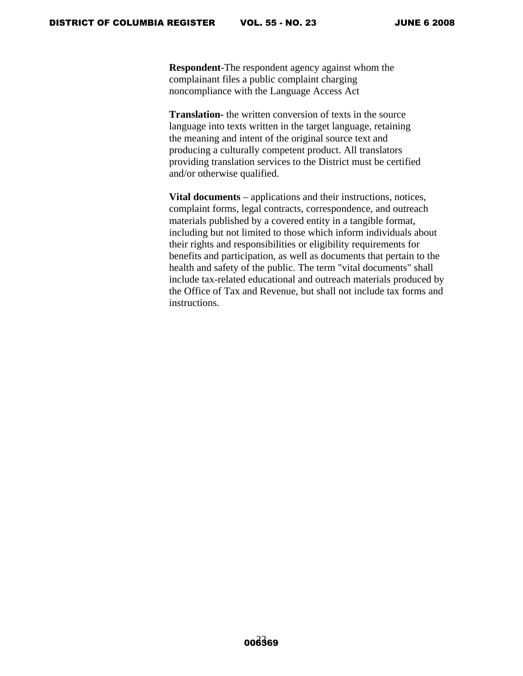**Respondent**-The respondent agency against whom the complainant files a public complaint charging noncompliance with the Language Access Act

**Translation-** the written conversion of texts in the source language into texts written in the target language, retaining the meaning and intent of the original source text and producing a culturally competent product. All translators providing translation services to the District must be certified and/or otherwise qualified.

**Vital documents** – applications and their instructions, notices, complaint forms, legal contracts, correspondence, and outreach materials published by a covered entity in a tangible format, including but not limited to those which inform individuals about their rights and responsibilities or eligibility requirements for benefits and participation, as well as documents that pertain to the health and safety of the public. The term "vital documents" shall include tax-related educational and outreach materials produced by the Office of Tax and Revenue, but shall not include tax forms and instructions.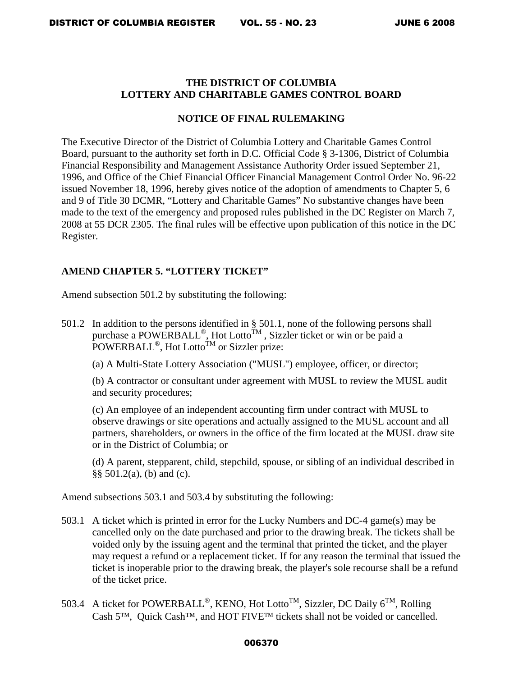# **THE DISTRICT OF COLUMBIA LOTTERY AND CHARITABLE GAMES CONTROL BOARD**

# **NOTICE OF FINAL RULEMAKING**

The Executive Director of the District of Columbia Lottery and Charitable Games Control Board, pursuant to the authority set forth in D.C. Official Code § 3-1306, District of Columbia Financial Responsibility and Management Assistance Authority Order issued September 21, 1996, and Office of the Chief Financial Officer Financial Management Control Order No. 96-22 issued November 18, 1996, hereby gives notice of the adoption of amendments to Chapter 5, 6 and 9 of Title 30 DCMR, "Lottery and Charitable Games" No substantive changes have been made to the text of the emergency and proposed rules published in the DC Register on March 7, 2008 at 55 DCR 2305. The final rules will be effective upon publication of this notice in the DC Register.

# **AMEND CHAPTER 5. "LOTTERY TICKET"**

Amend subsection 501.2 by substituting the following:

501.2 In addition to the persons identified in § 501.1, none of the following persons shall purchase a POWERBALL®, Hot Lotto<sup>TM</sup>, Sizzler ticket or win or be paid a POWERBALL<sup>®</sup>, Hot Lotto<sup>TM</sup> or Sizzler prize:

(a) A Multi-State Lottery Association ("MUSL") employee, officer, or director;

(b) A contractor or consultant under agreement with MUSL to review the MUSL audit and security procedures;

(c) An employee of an independent accounting firm under contract with MUSL to observe drawings or site operations and actually assigned to the MUSL account and all partners, shareholders, or owners in the office of the firm located at the MUSL draw site or in the District of Columbia; or

(d) A parent, stepparent, child, stepchild, spouse, or sibling of an individual described in §§ 501.2(a), (b) and (c).

Amend subsections 503.1 and 503.4 by substituting the following:

- 503.1 A ticket which is printed in error for the Lucky Numbers and DC-4 game(s) may be cancelled only on the date purchased and prior to the drawing break. The tickets shall be voided only by the issuing agent and the terminal that printed the ticket, and the player may request a refund or a replacement ticket. If for any reason the terminal that issued the ticket is inoperable prior to the drawing break, the player's sole recourse shall be a refund of the ticket price.
- 503.4 A ticket for POWERBALL<sup>®</sup>, KENO, Hot Lotto<sup>TM</sup>, Sizzler, DC Daily 6<sup>TM</sup>, Rolling Cash 5™, Quick Cash™, and HOT FIVE™ tickets shall not be voided or cancelled.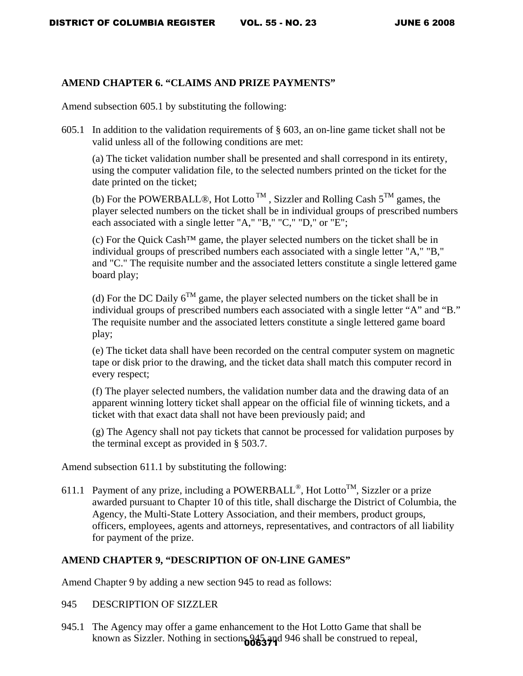# **AMEND CHAPTER 6. "CLAIMS AND PRIZE PAYMENTS"**

Amend subsection 605.1 by substituting the following:

605.1 In addition to the validation requirements of  $\S$  603, an on-line game ticket shall not be valid unless all of the following conditions are met:

(a) The ticket validation number shall be presented and shall correspond in its entirety, using the computer validation file, to the selected numbers printed on the ticket for the date printed on the ticket;

(b) For the POWERBALL®, Hot Lotto<sup>TM</sup>, Sizzler and Rolling Cash  $5^{TM}$  games, the player selected numbers on the ticket shall be in individual groups of prescribed numbers each associated with a single letter "A," "B," "C," "D," or "E";

(c) For the Quick Cash™ game, the player selected numbers on the ticket shall be in individual groups of prescribed numbers each associated with a single letter "A," "B," and "C." The requisite number and the associated letters constitute a single lettered game board play;

(d) For the DC Daily  $6^{TM}$  game, the player selected numbers on the ticket shall be in individual groups of prescribed numbers each associated with a single letter "A" and "B." The requisite number and the associated letters constitute a single lettered game board play;

(e) The ticket data shall have been recorded on the central computer system on magnetic tape or disk prior to the drawing, and the ticket data shall match this computer record in every respect;

(f) The player selected numbers, the validation number data and the drawing data of an apparent winning lottery ticket shall appear on the official file of winning tickets, and a ticket with that exact data shall not have been previously paid; and

(g) The Agency shall not pay tickets that cannot be processed for validation purposes by the terminal except as provided in § 503.7.

Amend subsection 611.1 by substituting the following:

611.1 Payment of any prize, including a POWERBALL<sup>®</sup>, Hot Lotto<sup>TM</sup>, Sizzler or a prize awarded pursuant to Chapter 10 of this title, shall discharge the District of Columbia, the Agency, the Multi-State Lottery Association, and their members, product groups, officers, employees, agents and attorneys, representatives, and contractors of all liability for payment of the prize.

# **AMEND CHAPTER 9, "DESCRIPTION OF ON-LINE GAMES"**

Amend Chapter 9 by adding a new section 945 to read as follows:

- 945 DESCRIPTION OF SIZZLER
- 945.1 The Agency may offer a game enhancement to the Hot Lotto Game that shall be known as Sizzler. Nothing in section 606374d 946 shall be construed to repeal,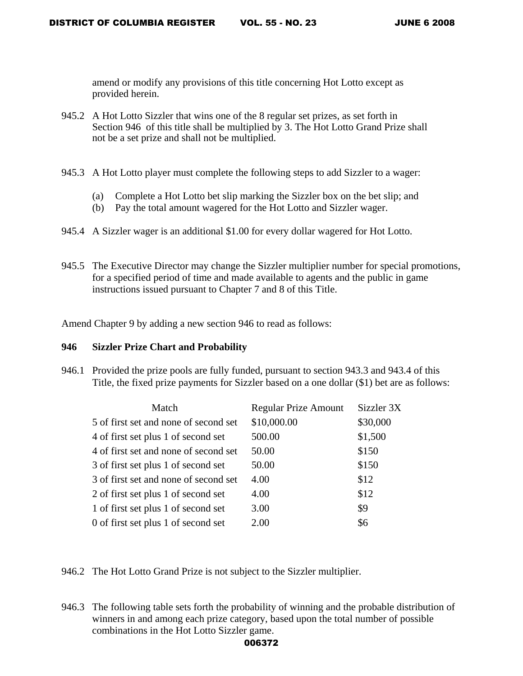amend or modify any provisions of this title concerning Hot Lotto except as provided herein.

- 945.2 A Hot Lotto Sizzler that wins one of the 8 regular set prizes, as set forth in Section 946 of this title shall be multiplied by 3. The Hot Lotto Grand Prize shall not be a set prize and shall not be multiplied.
- 945.3 A Hot Lotto player must complete the following steps to add Sizzler to a wager:
	- (a) Complete a Hot Lotto bet slip marking the Sizzler box on the bet slip; and
	- (b) Pay the total amount wagered for the Hot Lotto and Sizzler wager.
- 945.4 A Sizzler wager is an additional \$1.00 for every dollar wagered for Hot Lotto.
- 945.5 The Executive Director may change the Sizzler multiplier number for special promotions, for a specified period of time and made available to agents and the public in game instructions issued pursuant to Chapter 7 and 8 of this Title.

Amend Chapter 9 by adding a new section 946 to read as follows:

### **946 Sizzler Prize Chart and Probability**

946.1 Provided the prize pools are fully funded, pursuant to section 943.3 and 943.4 of this Title, the fixed prize payments for Sizzler based on a one dollar (\$1) bet are as follows:

| Match                                 | <b>Regular Prize Amount</b> | Sizzler 3X |
|---------------------------------------|-----------------------------|------------|
| 5 of first set and none of second set | \$10,000.00                 | \$30,000   |
| 4 of first set plus 1 of second set   | 500.00                      | \$1,500    |
| 4 of first set and none of second set | 50.00                       | \$150      |
| 3 of first set plus 1 of second set   | 50.00                       | \$150      |
| 3 of first set and none of second set | 4.00                        | \$12       |
| 2 of first set plus 1 of second set   | 4.00                        | \$12       |
| 1 of first set plus 1 of second set   | 3.00                        | \$9        |
| 0 of first set plus 1 of second set   | 2.00                        | \$6        |

946.2 The Hot Lotto Grand Prize is not subject to the Sizzler multiplier.

946.3 The following table sets forth the probability of winning and the probable distribution of winners in and among each prize category, based upon the total number of possible combinations in the Hot Lotto Sizzler game.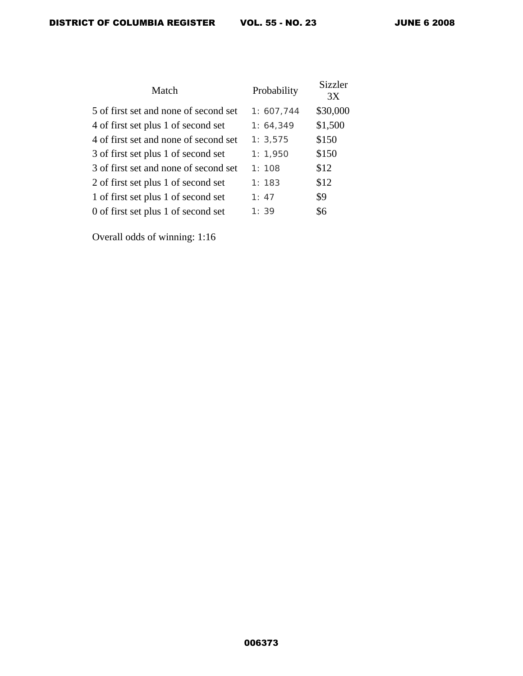| Match                                 | Probability | Sizzler<br>3X |
|---------------------------------------|-------------|---------------|
| 5 of first set and none of second set | 1: 607,744  | \$30,000      |
| 4 of first set plus 1 of second set   | 1: 64, 349  | \$1,500       |
| 4 of first set and none of second set | 1: 3,575    | \$150         |
| 3 of first set plus 1 of second set   | 1: 1,950    | \$150         |
| 3 of first set and none of second set | 1:108       | \$12          |
| 2 of first set plus 1 of second set   | 1:183       | \$12          |
| 1 of first set plus 1 of second set   | 1:47        | \$9           |
| 0 of first set plus 1 of second set   | 1:39        | \$6           |

Overall odds of winning: 1:16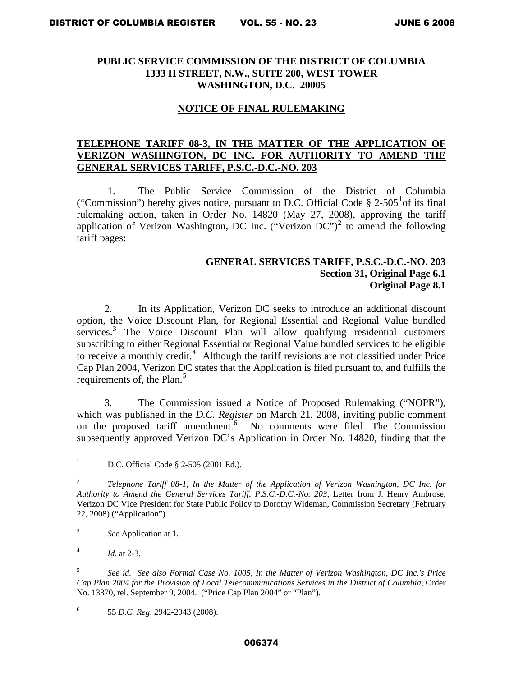## **PUBLIC SERVICE COMMISSION OF THE DISTRICT OF COLUMBIA 1333 H STREET, N.W., SUITE 200, WEST TOWER WASHINGTON, D.C. 20005**

### **NOTICE OF FINAL RULEMAKING**

## **TELEPHONE TARIFF 08-3, IN THE MATTER OF THE APPLICATION OF VERIZON WASHINGTON, DC INC. FOR AUTHORITY TO AMEND THE GENERAL SERVICES TARIFF, P.S.C.-D.C.-NO. 203**

1. The Public Service Commission of the District of Columbia ("Commission") hereby gives notice, pursuant to D.C. Official Code  $\S 2$ -505<sup>[1](#page-26-0)</sup> of its final rulemaking action, taken in Order No. 14820 (May 27, 2008), approving the tariff application of Verizon Washington, DC Inc. ("Verizon  $DC$ ")<sup>[2](#page-26-1)</sup> to amend the following tariff pages:

# **GENERAL SERVICES TARIFF, P.S.C.-D.C.-NO. 203 Section 31, Original Page 6.1 Original Page 8.1**

2. In its Application, Verizon DC seeks to introduce an additional discount option, the Voice Discount Plan, for Regional Essential and Regional Value bundled services.<sup>[3](#page-26-2)</sup> The Voice Discount Plan will allow qualifying residential customers subscribing to either Regional Essential or Regional Value bundled services to be eligible to receive a monthly credit.<sup>[4](#page-26-3)</sup> Although the tariff revisions are not classified under Price Cap Plan 2004, Verizon DC states that the Application is filed pursuant to, and fulfills the requirements of, the Plan. $5$ 

3. The Commission issued a Notice of Proposed Rulemaking ("NOPR"), which was published in the *D.C. Register* on March 21, 2008, inviting public comment on the proposed tariff amendment.<sup>[6](#page-26-5)</sup> No comments were filed. The Commission subsequently approved Verizon DC's Application in Order No. 14820, finding that the

<span id="page-26-2"></span>3 *See* Application at 1.

<span id="page-26-3"></span>4 *Id.* at 2-3.

<span id="page-26-4"></span>5 *See id. See also Formal Case No. 1005, In the Matter of Verizon Washington, DC Inc.'s Price Cap Plan 2004 for the Provision of Local Telecommunications Services in the District of Columbia*, Order No. 13370, rel. September 9, 2004. ("Price Cap Plan 2004" or "Plan").

<span id="page-26-5"></span>6 55 *D.C. Reg*. 2942-2943 (2008).

<span id="page-26-0"></span> $\frac{1}{1}$ D.C. Official Code § 2-505 (2001 Ed.).

<span id="page-26-1"></span><sup>2</sup> *Telephone Tariff 08-1, In the Matter of the Application of Verizon Washington, DC Inc. for Authority to Amend the General Services Tariff, P.S.C.-D.C.-No. 203*, Letter from J. Henry Ambrose, Verizon DC Vice President for State Public Policy to Dorothy Wideman, Commission Secretary (February 22, 2008) ("Application").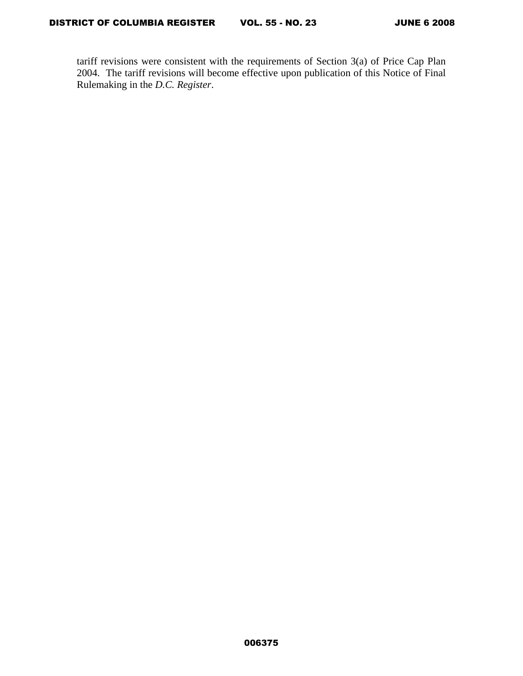tariff revisions were consistent with the requirements of Section 3(a) of Price Cap Plan 2004. The tariff revisions will become effective upon publication of this Notice of Final Rulemaking in the *D.C. Register*.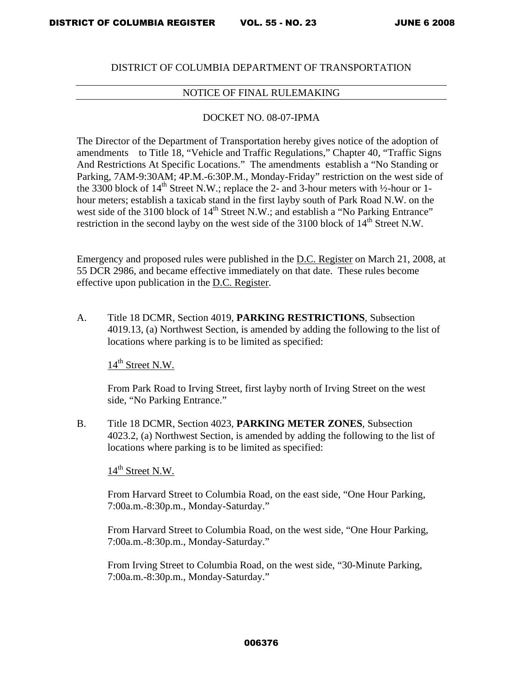### DISTRICT OF COLUMBIA DEPARTMENT OF TRANSPORTATION

# NOTICE OF FINAL RULEMAKING

### DOCKET NO. 08-07-IPMA

The Director of the Department of Transportation hereby gives notice of the adoption of amendments to Title 18, "Vehicle and Traffic Regulations," Chapter 40, "Traffic Signs And Restrictions At Specific Locations." The amendments establish a "No Standing or Parking, 7AM-9:30AM; 4P.M.-6:30P.M., Monday-Friday" restriction on the west side of the 3300 block of  $14^{th}$  Street N.W.; replace the 2- and 3-hour meters with  $\frac{1}{2}$ -hour or 1hour meters; establish a taxicab stand in the first layby south of Park Road N.W. on the west side of the 3100 block of  $14<sup>th</sup>$  Street N.W.; and establish a "No Parking Entrance" restriction in the second layby on the west side of the 3100 block of  $14<sup>th</sup>$  Street N.W.

Emergency and proposed rules were published in the D.C. Register on March 21, 2008, at 55 DCR 2986, and became effective immediately on that date. These rules become effective upon publication in the D.C. Register.

A. Title 18 DCMR, Section 4019, **PARKING RESTRICTIONS**, Subsection 4019.13, (a) Northwest Section, is amended by adding the following to the list of locations where parking is to be limited as specified:

 $14<sup>th</sup>$  Street N.W.

 From Park Road to Irving Street, first layby north of Irving Street on the west side, "No Parking Entrance."

B. Title 18 DCMR, Section 4023, **PARKING METER ZONES**, Subsection 4023.2, (a) Northwest Section, is amended by adding the following to the list of locations where parking is to be limited as specified:

 $14<sup>th</sup>$  Street N.W.

From Harvard Street to Columbia Road, on the east side, "One Hour Parking, 7:00a.m.-8:30p.m., Monday-Saturday."

From Harvard Street to Columbia Road, on the west side, "One Hour Parking, 7:00a.m.-8:30p.m., Monday-Saturday."

From Irving Street to Columbia Road, on the west side, "30-Minute Parking, 7:00a.m.-8:30p.m., Monday-Saturday."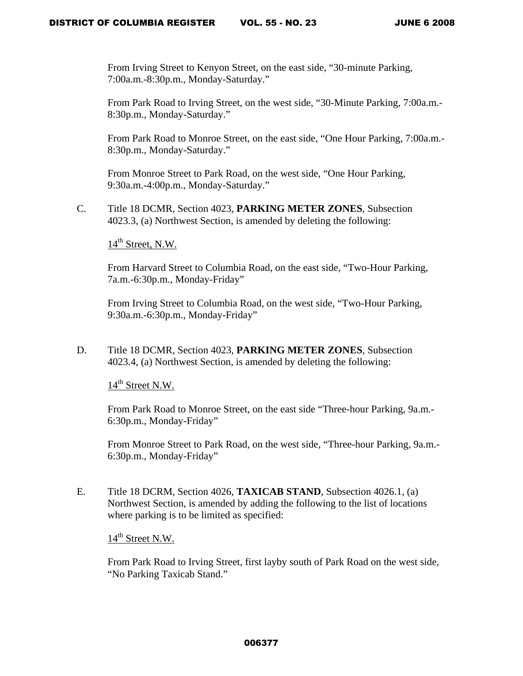From Irving Street to Kenyon Street, on the east side, "30-minute Parking, 7:00a.m.-8:30p.m., Monday-Saturday."

From Park Road to Irving Street, on the west side, "30-Minute Parking, 7:00a.m.- 8:30p.m., Monday-Saturday."

From Park Road to Monroe Street, on the east side, "One Hour Parking, 7:00a.m.- 8:30p.m., Monday-Saturday."

From Monroe Street to Park Road, on the west side, "One Hour Parking, 9:30a.m.-4:00p.m., Monday-Saturday."

C. Title 18 DCMR, Section 4023, **PARKING METER ZONES**, Subsection 4023.3, (a) Northwest Section, is amended by deleting the following:

 $14<sup>th</sup>$  Street, N.W.

From Harvard Street to Columbia Road, on the east side, "Two-Hour Parking, 7a.m.-6:30p.m., Monday-Friday"

From Irving Street to Columbia Road, on the west side, "Two-Hour Parking, 9:30a.m.-6:30p.m., Monday-Friday"

D. Title 18 DCMR, Section 4023, **PARKING METER ZONES**, Subsection 4023.4, (a) Northwest Section, is amended by deleting the following:

 $14<sup>th</sup>$  Street N.W.

From Park Road to Monroe Street, on the east side "Three-hour Parking, 9a.m.- 6:30p.m., Monday-Friday"

From Monroe Street to Park Road, on the west side, "Three-hour Parking, 9a.m.- 6:30p.m., Monday-Friday"

E. Title 18 DCRM, Section 4026, **TAXICAB STAND**, Subsection 4026.1, (a) Northwest Section, is amended by adding the following to the list of locations where parking is to be limited as specified:

14<sup>th</sup> Street N.W.

From Park Road to Irving Street, first layby south of Park Road on the west side, "No Parking Taxicab Stand."